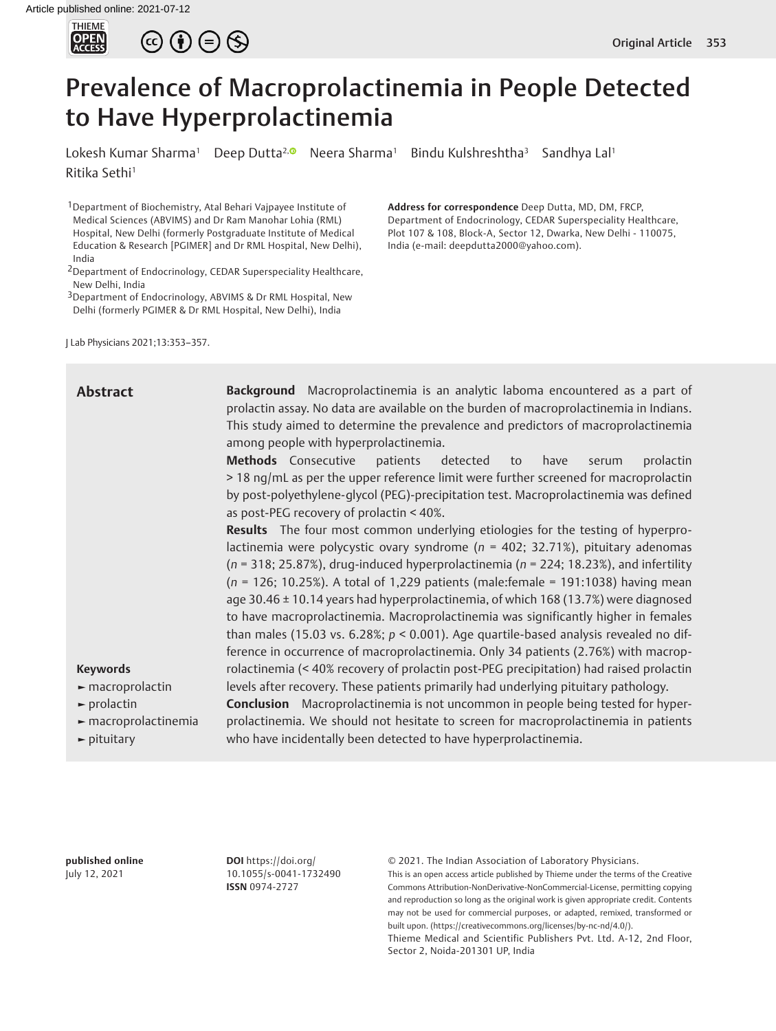



# Prevalence of Macroprolactinemia in People Detected to Have Hyperprolactinemia

Lokesh Kumar Sharma<sup>1</sup> Deep Dutta<sup>2, (D</sup> Neera Sharma<sup>1</sup> Bindu Kulshreshtha<sup>3</sup> Sandhya Lal<sup>1</sup> Ritika Sethi<sup>1</sup>

1Department of Biochemistry, Atal Behari Vajpayee Institute of Medical Sciences (ABVIMS) and Dr Ram Manohar Lohia (RML) Hospital, New Delhi (formerly Postgraduate Institute of Medical Education & Research [PGIMER] and Dr RML Hospital, New Delhi), India

3Department of Endocrinology, ABVIMS & Dr RML Hospital, New Delhi (formerly PGIMER & Dr RML Hospital, New Delhi), India

J Lab Physicians 2021;13:353–357.

**Address for correspondence** Deep Dutta, MD, DM, FRCP, Department of Endocrinology, CEDAR Superspeciality Healthcare, Plot 107 & 108, Block-A, Sector 12, Dwarka, New Delhi - 110075, India (e-mail: deepdutta2000@yahoo.com).

| <b>Abstract</b>                                                                        | Background Macroprolactinemia is an analytic laboma encountered as a part of<br>prolactin assay. No data are available on the burden of macroprolactinemia in Indians. |  |  |  |
|----------------------------------------------------------------------------------------|------------------------------------------------------------------------------------------------------------------------------------------------------------------------|--|--|--|
|                                                                                        | This study aimed to determine the prevalence and predictors of macroprolactinemia                                                                                      |  |  |  |
|                                                                                        | among people with hyperprolactinemia.                                                                                                                                  |  |  |  |
|                                                                                        | Methods Consecutive<br>patients<br>detected<br>prolactin<br>have<br>to<br>serum                                                                                        |  |  |  |
|                                                                                        | >18 ng/mL as per the upper reference limit were further screened for macroprolactin                                                                                    |  |  |  |
|                                                                                        | by post-polyethylene-glycol (PEG)-precipitation test. Macroprolactinemia was defined                                                                                   |  |  |  |
|                                                                                        | as post-PEG recovery of prolactin < 40%.                                                                                                                               |  |  |  |
| <b>Results</b> The four most common underlying etiologies for the testing of hyperpro- |                                                                                                                                                                        |  |  |  |
|                                                                                        | lactinemia were polycystic ovary syndrome ( $n = 402$ ; 32.71%), pituitary adenomas                                                                                    |  |  |  |
|                                                                                        | $(n = 318; 25.87%)$ , drug-induced hyperprolactinemia ( $n = 224; 18.23%)$ , and infertility                                                                           |  |  |  |
|                                                                                        | $(n = 126; 10.25%)$ . A total of 1,229 patients (male:female = 191:1038) having mean                                                                                   |  |  |  |
|                                                                                        | age 30.46 ± 10.14 years had hyperprolactinemia, of which 168 (13.7%) were diagnosed                                                                                    |  |  |  |
|                                                                                        | to have macroprolactinemia. Macroprolactinemia was significantly higher in females                                                                                     |  |  |  |
|                                                                                        | than males (15.03 vs. 6.28%; $p < 0.001$ ). Age quartile-based analysis revealed no dif-                                                                               |  |  |  |
|                                                                                        | ference in occurrence of macroprolactinemia. Only 34 patients (2.76%) with macrop-                                                                                     |  |  |  |
| <b>Keywords</b>                                                                        | rolactinemia (< 40% recovery of prolactin post-PEG precipitation) had raised prolactin                                                                                 |  |  |  |
| $\blacktriangleright$ macroprolactin                                                   | levels after recovery. These patients primarily had underlying pituitary pathology.                                                                                    |  |  |  |
| $\blacktriangleright$ prolactin                                                        | <b>Conclusion</b> Macroprolactinemia is not uncommon in people being tested for hyper-                                                                                 |  |  |  |
| $\blacktriangleright$ macroprolactinemia                                               | prolactinemia. We should not hesitate to screen for macroprolactinemia in patients                                                                                     |  |  |  |
| $\blacktriangleright$ pituitary                                                        | who have incidentally been detected to have hyperprolactinemia.                                                                                                        |  |  |  |

**published online** July 12, 2021

**DOI** https://doi.org/ 10.1055/s-0041-1732490 **ISSN** 0974-2727

© 2021. The Indian Association of Laboratory Physicians.

This is an open access article published by Thieme under the terms of the Creative Commons Attribution-NonDerivative-NonCommercial-License, permitting copying and reproduction so long as the original work is given appropriate credit. Contents may not be used for commercial purposes, or adapted, remixed, transformed or built upon. (https://creativecommons.org/licenses/by-nc-nd/4.0/).

Thieme Medical and Scientific Publishers Pvt. Ltd. A-12, 2nd Floor, Sector 2, Noida-201301 UP, India

<sup>2</sup>Department of Endocrinology, CEDAR Superspeciality Healthcare, New Delhi, India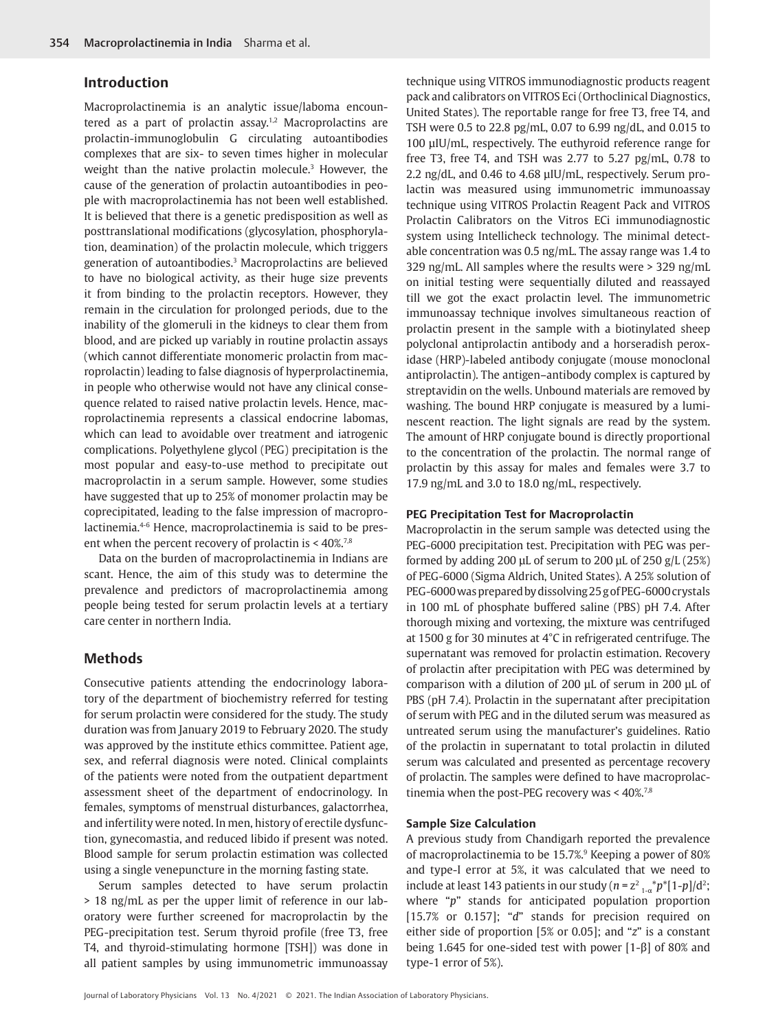# **Introduction**

Macroprolactinemia is an analytic issue/laboma encountered as a part of prolactin assay.<sup>1,2</sup> Macroprolactins are prolactin-immunoglobulin G circulating autoantibodies complexes that are six- to seven times higher in molecular weight than the native prolactin molecule.<sup>3</sup> However, the cause of the generation of prolactin autoantibodies in people with macroprolactinemia has not been well established. It is believed that there is a genetic predisposition as well as posttranslational modifications (glycosylation, phosphorylation, deamination) of the prolactin molecule, which triggers generation of autoantibodies.3 Macroprolactins are believed to have no biological activity, as their huge size prevents it from binding to the prolactin receptors. However, they remain in the circulation for prolonged periods, due to the inability of the glomeruli in the kidneys to clear them from blood, and are picked up variably in routine prolactin assays (which cannot differentiate monomeric prolactin from macroprolactin) leading to false diagnosis of hyperprolactinemia, in people who otherwise would not have any clinical consequence related to raised native prolactin levels. Hence, macroprolactinemia represents a classical endocrine labomas, which can lead to avoidable over treatment and iatrogenic complications. Polyethylene glycol (PEG) precipitation is the most popular and easy-to-use method to precipitate out macroprolactin in a serum sample. However, some studies have suggested that up to 25% of monomer prolactin may be coprecipitated, leading to the false impression of macroprolactinemia.4-6 Hence, macroprolactinemia is said to be present when the percent recovery of prolactin is < 40%.<sup>7,8</sup>

Data on the burden of macroprolactinemia in Indians are scant. Hence, the aim of this study was to determine the prevalence and predictors of macroprolactinemia among people being tested for serum prolactin levels at a tertiary care center in northern India.

## **Methods**

Consecutive patients attending the endocrinology laboratory of the department of biochemistry referred for testing for serum prolactin were considered for the study. The study duration was from January 2019 to February 2020. The study was approved by the institute ethics committee. Patient age, sex, and referral diagnosis were noted. Clinical complaints of the patients were noted from the outpatient department assessment sheet of the department of endocrinology. In females, symptoms of menstrual disturbances, galactorrhea, and infertility were noted. In men, history of erectile dysfunction, gynecomastia, and reduced libido if present was noted. Blood sample for serum prolactin estimation was collected using a single venepuncture in the morning fasting state.

Serum samples detected to have serum prolactin > 18 ng/mL as per the upper limit of reference in our laboratory were further screened for macroprolactin by the PEG-precipitation test. Serum thyroid profile (free T3, free T4, and thyroid-stimulating hormone [TSH]) was done in all patient samples by using immunometric immunoassay technique using VITROS immunodiagnostic products reagent pack and calibrators on VITROS Eci (Orthoclinical Diagnostics, United States). The reportable range for free T3, free T4, and TSH were 0.5 to 22.8 pg/mL, 0.07 to 6.99 ng/dL, and 0.015 to 100 µIU/mL, respectively. The euthyroid reference range for free T3, free T4, and TSH was 2.77 to 5.27 pg/mL, 0.78 to 2.2 ng/dL, and 0.46 to 4.68 µIU/mL, respectively. Serum prolactin was measured using immunometric immunoassay technique using VITROS Prolactin Reagent Pack and VITROS Prolactin Calibrators on the Vitros ECi immunodiagnostic system using Intellicheck technology. The minimal detectable concentration was 0.5 ng/mL. The assay range was 1.4 to 329 ng/mL. All samples where the results were > 329 ng/mL on initial testing were sequentially diluted and reassayed till we got the exact prolactin level. The immunometric immunoassay technique involves simultaneous reaction of prolactin present in the sample with a biotinylated sheep polyclonal antiprolactin antibody and a horseradish peroxidase (HRP)-labeled antibody conjugate (mouse monoclonal antiprolactin). The antigen–antibody complex is captured by streptavidin on the wells. Unbound materials are removed by washing. The bound HRP conjugate is measured by a luminescent reaction. The light signals are read by the system. The amount of HRP conjugate bound is directly proportional to the concentration of the prolactin. The normal range of prolactin by this assay for males and females were 3.7 to 17.9 ng/mL and 3.0 to 18.0 ng/mL, respectively.

## **PEG Precipitation Test for Macroprolactin**

Macroprolactin in the serum sample was detected using the PEG-6000 precipitation test. Precipitation with PEG was performed by adding 200  $\mu$ L of serum to 200  $\mu$ L of 250 g/L (25%) of PEG-6000 (Sigma Aldrich, United States). A 25% solution of PEG-6000 was prepared by dissolving 25 g of PEG-6000 crystals in 100 mL of phosphate buffered saline (PBS) pH 7.4. After thorough mixing and vortexing, the mixture was centrifuged at 1500 g for 30 minutes at 4°C in refrigerated centrifuge. The supernatant was removed for prolactin estimation. Recovery of prolactin after precipitation with PEG was determined by comparison with a dilution of 200 µL of serum in 200 µL of PBS (pH 7.4). Prolactin in the supernatant after precipitation of serum with PEG and in the diluted serum was measured as untreated serum using the manufacturer's guidelines. Ratio of the prolactin in supernatant to total prolactin in diluted serum was calculated and presented as percentage recovery of prolactin. The samples were defined to have macroprolactinemia when the post-PEG recovery was < 40%.7,8

## **Sample Size Calculation**

A previous study from Chandigarh reported the prevalence of macroprolactinemia to be 15.7%.9 Keeping a power of 80% and type-I error at 5%, it was calculated that we need to include at least 143 patients in our study ( $n = z^2 \frac{1}{1-\alpha} p^* [1-p]/d^2$ ; where "*p*" stands for anticipated population proportion [15.7% or 0.157]; "*d*" stands for precision required on either side of proportion [5% or 0.05]; and "*z*" is a constant being 1.645 for one-sided test with power [1-β] of 80% and type-1 error of 5%).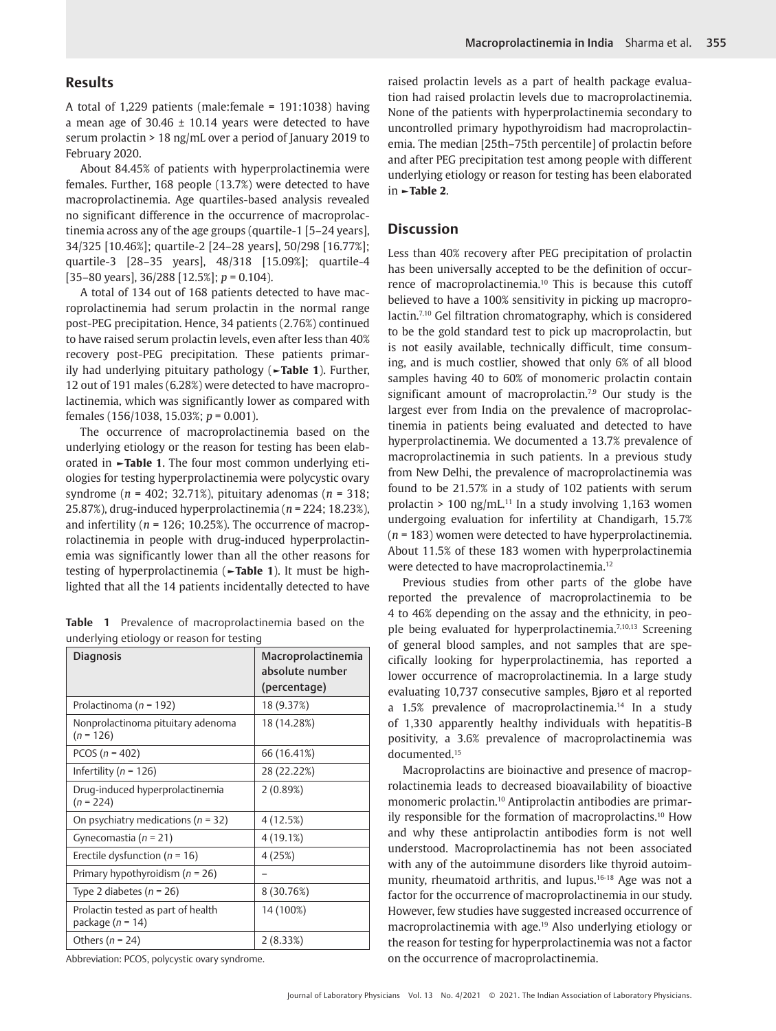# **Results**

A total of 1,229 patients (male:female = 191:1038) having a mean age of  $30.46 \pm 10.14$  years were detected to have serum prolactin > 18 ng/mL over a period of January 2019 to February 2020.

About 84.45% of patients with hyperprolactinemia were females. Further, 168 people (13.7%) were detected to have macroprolactinemia. Age quartiles-based analysis revealed no significant difference in the occurrence of macroprolactinemia across any of the age groups (quartile-1 [5–24 years], 34/325 [10.46%]; quartile-2 [24–28 years], 50/298 [16.77%]; quartile-3 [28–35 years], 48/318 [15.09%]; quartile-4 [35–80 years], 36/288 [12.5%]; *p* = 0.104).

A total of 134 out of 168 patients detected to have macroprolactinemia had serum prolactin in the normal range post-PEG precipitation. Hence, 34 patients (2.76%) continued to have raised serum prolactin levels, even after less than 40% recovery post-PEG precipitation. These patients primarily had underlying pituitary pathology (**►Table 1**). Further, 12 out of 191 males (6.28%) were detected to have macroprolactinemia, which was significantly lower as compared with females (156/1038, 15.03%; *p* = 0.001).

The occurrence of macroprolactinemia based on the underlying etiology or the reason for testing has been elaborated in **►Table 1**. The four most common underlying etiologies for testing hyperprolactinemia were polycystic ovary syndrome (*n* = 402; 32.71%), pituitary adenomas (*n* = 318; 25.87%), drug-induced hyperprolactinemia (*n* = 224; 18.23%), and infertility (*n* = 126; 10.25%). The occurrence of macroprolactinemia in people with drug-induced hyperprolactinemia was significantly lower than all the other reasons for testing of hyperprolactinemia (**►Table 1**). It must be highlighted that all the 14 patients incidentally detected to have

**Table 1** Prevalence of macroprolactinemia based on the underlying etiology or reason for testing

| <b>Diagnosis</b>                                           | Macroprolactinemia<br>absolute number<br>(percentage) |
|------------------------------------------------------------|-------------------------------------------------------|
| Prolactinoma ( $n = 192$ )                                 | 18 (9.37%)                                            |
| Nonprolactinoma pituitary adenoma<br>$(n = 126)$           | 18 (14.28%)                                           |
| PCOS ( $n = 402$ )                                         | 66 (16.41%)                                           |
| Infertility ( $n = 126$ )                                  | 28 (22.22%)                                           |
| Drug-induced hyperprolactinemia<br>$(n = 224)$             | 2(0.89%)                                              |
| On psychiatry medications ( $n = 32$ )                     | 4(12.5%)                                              |
| Gynecomastia ( $n = 21$ )                                  | 4(19.1%)                                              |
| Erectile dysfunction ( $n = 16$ )                          | 4(25%)                                                |
| Primary hypothyroidism ( $n = 26$ )                        |                                                       |
| Type 2 diabetes ( $n = 26$ )                               | 8 (30.76%)                                            |
| Prolactin tested as part of health<br>package ( $n = 14$ ) | 14 (100%)                                             |
| Others ( $n = 24$ )                                        | 2(8.33%)                                              |

Abbreviation: PCOS, polycystic ovary syndrome.

raised prolactin levels as a part of health package evaluation had raised prolactin levels due to macroprolactinemia. None of the patients with hyperprolactinemia secondary to uncontrolled primary hypothyroidism had macroprolactinemia. The median [25th–75th percentile] of prolactin before and after PEG precipitation test among people with different underlying etiology or reason for testing has been elaborated in **►Table 2**.

## **Discussion**

Less than 40% recovery after PEG precipitation of prolactin has been universally accepted to be the definition of occurrence of macroprolactinemia.10 This is because this cutoff believed to have a 100% sensitivity in picking up macroprolactin.7,10 Gel filtration chromatography, which is considered to be the gold standard test to pick up macroprolactin, but is not easily available, technically difficult, time consuming, and is much costlier, showed that only 6% of all blood samples having 40 to 60% of monomeric prolactin contain significant amount of macroprolactin.<sup>7,9</sup> Our study is the largest ever from India on the prevalence of macroprolactinemia in patients being evaluated and detected to have hyperprolactinemia. We documented a 13.7% prevalence of macroprolactinemia in such patients. In a previous study from New Delhi, the prevalence of macroprolactinemia was found to be 21.57% in a study of 102 patients with serum prolactin > 100 ng/mL.<sup>11</sup> In a study involving 1,163 women undergoing evaluation for infertility at Chandigarh, 15.7% (*n* = 183) women were detected to have hyperprolactinemia. About 11.5% of these 183 women with hyperprolactinemia were detected to have macroprolactinemia.<sup>12</sup>

Previous studies from other parts of the globe have reported the prevalence of macroprolactinemia to be 4 to 46% depending on the assay and the ethnicity, in people being evaluated for hyperprolactinemia.<sup>7,10,13</sup> Screening of general blood samples, and not samples that are specifically looking for hyperprolactinemia, has reported a lower occurrence of macroprolactinemia. In a large study evaluating 10,737 consecutive samples, Bjøro et al reported a 1.5% prevalence of macroprolactinemia.<sup>14</sup> In a study of 1,330 apparently healthy individuals with hepatitis-B positivity, a 3.6% prevalence of macroprolactinemia was documented.15

Macroprolactins are bioinactive and presence of macroprolactinemia leads to decreased bioavailability of bioactive monomeric prolactin.10 Antiprolactin antibodies are primarily responsible for the formation of macroprolactins.10 How and why these antiprolactin antibodies form is not well understood. Macroprolactinemia has not been associated with any of the autoimmune disorders like thyroid autoimmunity, rheumatoid arthritis, and lupus.16-18 Age was not a factor for the occurrence of macroprolactinemia in our study. However, few studies have suggested increased occurrence of macroprolactinemia with age.19 Also underlying etiology or the reason for testing for hyperprolactinemia was not a factor on the occurrence of macroprolactinemia.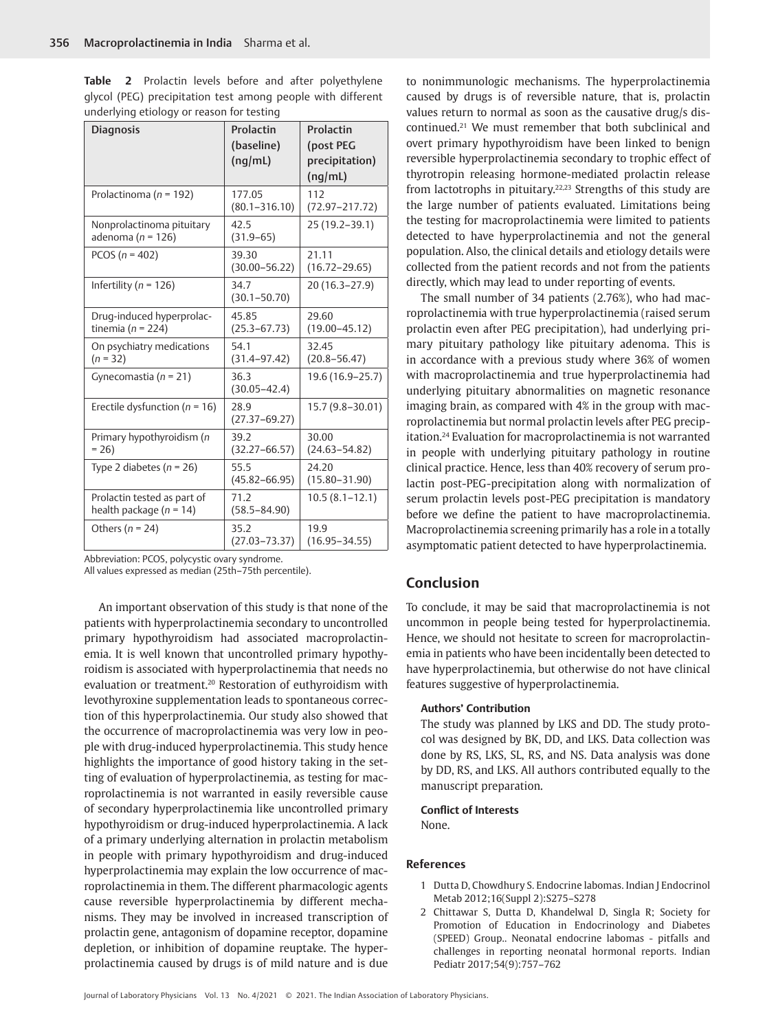**Table 2** Prolactin levels before and after polyethylene glycol (PEG) precipitation test among people with different underlying etiology or reason for testing

| <b>Diagnosis</b>                                         | Prolactin<br>(baseline)<br>(nq/mL) | Prolactin<br>(post PEG<br>precipitation)<br>(nq/mL) |
|----------------------------------------------------------|------------------------------------|-----------------------------------------------------|
| Prolactinoma ( $n = 192$ )                               | 177.05<br>$(80.1 - 316.10)$        | 112<br>$(72.97 - 217.72)$                           |
| Nonprolactinoma pituitary<br>adenoma ( $n = 126$ )       | 42.5<br>$(31.9 - 65)$              | 25 (19.2–39.1)                                      |
| PCOS ( $n = 402$ )                                       | 39.30<br>$(30.00 - 56.22)$         | 21.11<br>$(16.72 - 29.65)$                          |
| Infertility ( $n = 126$ )                                | 34.7<br>$(30.1 - 50.70)$           | 20 (16.3-27.9)                                      |
| Drug-induced hyperprolac-<br>tinemia ( $n = 224$ )       | 45.85<br>$(25.3 - 67.73)$          | 29.60<br>$(19.00 - 45.12)$                          |
| On psychiatry medications<br>$(n = 32)$                  | 54.1<br>$(31.4 - 97.42)$           | 32.45<br>$(20.8 - 56.47)$                           |
| Gynecomastia ( $n = 21$ )                                | 36.3<br>$(30.05 - 42.4)$           | 19.6 (16.9–25.7)                                    |
| Erectile dysfunction ( $n = 16$ )                        | 28.9<br>$(27.37 - 69.27)$          | 15.7 (9.8–30.01)                                    |
| Primary hypothyroidism (n<br>$= 26$                      | 39.2<br>$(32.27 - 66.57)$          | 30.00<br>$(24.63 - 54.82)$                          |
| Type 2 diabetes ( $n = 26$ )                             | 55.5<br>$(45.82 - 66.95)$          | 24.20<br>$(15.80 - 31.90)$                          |
| Prolactin tested as part of<br>health package $(n = 14)$ | 71.2<br>$(58.5 - 84.90)$           | $10.5(8.1 - 12.1)$                                  |
| Others ( $n = 24$ )                                      | 35.2<br>(27.03–73.37)              | 19.9<br>$(16.95 - 34.55)$                           |

Abbreviation: PCOS, polycystic ovary syndrome.

All values expressed as median (25th–75th percentile).

An important observation of this study is that none of the patients with hyperprolactinemia secondary to uncontrolled primary hypothyroidism had associated macroprolactinemia. It is well known that uncontrolled primary hypothyroidism is associated with hyperprolactinemia that needs no evaluation or treatment.20 Restoration of euthyroidism with levothyroxine supplementation leads to spontaneous correction of this hyperprolactinemia. Our study also showed that the occurrence of macroprolactinemia was very low in people with drug-induced hyperprolactinemia. This study hence highlights the importance of good history taking in the setting of evaluation of hyperprolactinemia, as testing for macroprolactinemia is not warranted in easily reversible cause of secondary hyperprolactinemia like uncontrolled primary hypothyroidism or drug-induced hyperprolactinemia. A lack of a primary underlying alternation in prolactin metabolism in people with primary hypothyroidism and drug-induced hyperprolactinemia may explain the low occurrence of macroprolactinemia in them. The different pharmacologic agents cause reversible hyperprolactinemia by different mechanisms. They may be involved in increased transcription of prolactin gene, antagonism of dopamine receptor, dopamine depletion, or inhibition of dopamine reuptake. The hyperprolactinemia caused by drugs is of mild nature and is due

to nonimmunologic mechanisms. The hyperprolactinemia caused by drugs is of reversible nature, that is, prolactin values return to normal as soon as the causative drug/s discontinued.21 We must remember that both subclinical and overt primary hypothyroidism have been linked to benign reversible hyperprolactinemia secondary to trophic effect of thyrotropin releasing hormone-mediated prolactin release from lactotrophs in pituitary.<sup>22,23</sup> Strengths of this study are the large number of patients evaluated. Limitations being the testing for macroprolactinemia were limited to patients detected to have hyperprolactinemia and not the general population. Also, the clinical details and etiology details were collected from the patient records and not from the patients directly, which may lead to under reporting of events.

The small number of 34 patients (2.76%), who had macroprolactinemia with true hyperprolactinemia (raised serum prolactin even after PEG precipitation), had underlying primary pituitary pathology like pituitary adenoma. This is in accordance with a previous study where 36% of women with macroprolactinemia and true hyperprolactinemia had underlying pituitary abnormalities on magnetic resonance imaging brain, as compared with 4% in the group with macroprolactinemia but normal prolactin levels after PEG precipitation.24 Evaluation for macroprolactinemia is not warranted in people with underlying pituitary pathology in routine clinical practice. Hence, less than 40% recovery of serum prolactin post-PEG-precipitation along with normalization of serum prolactin levels post-PEG precipitation is mandatory before we define the patient to have macroprolactinemia. Macroprolactinemia screening primarily has a role in a totally asymptomatic patient detected to have hyperprolactinemia.

# **Conclusion**

To conclude, it may be said that macroprolactinemia is not uncommon in people being tested for hyperprolactinemia. Hence, we should not hesitate to screen for macroprolactinemia in patients who have been incidentally been detected to have hyperprolactinemia, but otherwise do not have clinical features suggestive of hyperprolactinemia.

#### **Authors' Contribution**

The study was planned by LKS and DD. The study protocol was designed by BK, DD, and LKS. Data collection was done by RS, LKS, SL, RS, and NS. Data analysis was done by DD, RS, and LKS. All authors contributed equally to the manuscript preparation.

### **Conflict of Interests**

None.

### **References**

- 1 Dutta D, Chowdhury S. Endocrine labomas. Indian J Endocrinol Metab 2012;16(Suppl 2):S275–S278
- 2 Chittawar S, Dutta D, Khandelwal D, Singla R; Society for Promotion of Education in Endocrinology and Diabetes (SPEED) Group.. Neonatal endocrine labomas - pitfalls and challenges in reporting neonatal hormonal reports. Indian Pediatr 2017;54(9):757–762